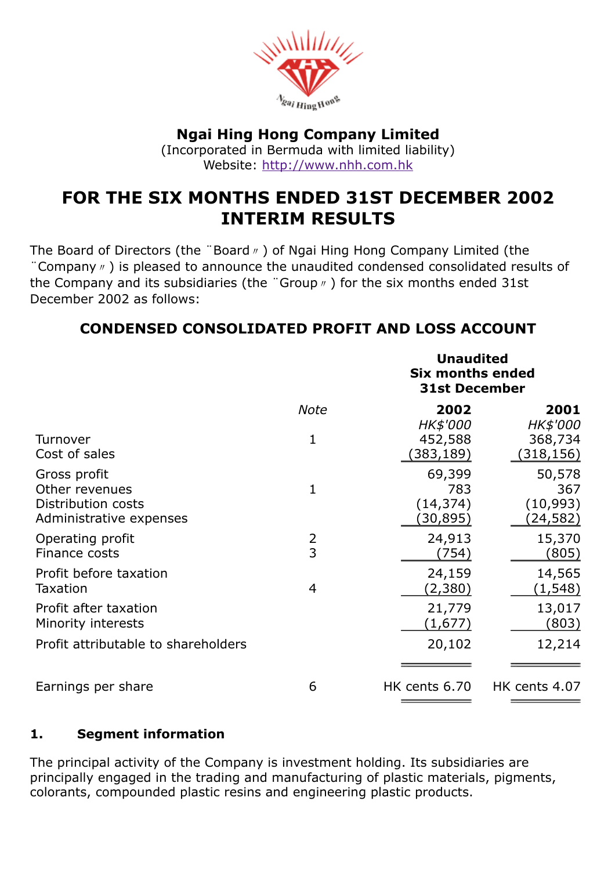

## Ngai Hing Hong Company Limited

(Incorporated in Bermuda with limited liability) Website: [http://www.nhh.com.hk](http://www.nhh.com.hk/)

# FOR THE SIX MONTHS ENDED 31ST DECEMBER 2002 INTERIM RESULTS

The Board of Directors (the "Board <sub>n</sub>) of Ngai Hing Hong Company Limited (the ¨Company〃) is pleased to announce the unaudited condensed consolidated results of the Company and its subsidiaries (the "Group  $\theta$ ) for the six months ended 31st December 2002 as follows:

# CONDENSED CONSOLIDATED PROFIT AND LOSS ACCOUNT

|                                                                                 |             |                                         | <b>Unaudited</b><br><b>Six months ended</b><br><b>31st December</b> |  |
|---------------------------------------------------------------------------------|-------------|-----------------------------------------|---------------------------------------------------------------------|--|
|                                                                                 | <b>Note</b> | 2002                                    | 2001                                                                |  |
| Turnover<br>Cost of sales                                                       | 1           | HK\$'000<br>452,588<br>(383,189)        | HK\$'000<br>368,734<br>(318, 156)                                   |  |
| Gross profit<br>Other revenues<br>Distribution costs<br>Administrative expenses | 1           | 69,399<br>783<br>(14, 374)<br>(30, 895) | 50,578<br>367<br>(10, 993)<br>(24,582)                              |  |
| Operating profit<br>Finance costs                                               | 2<br>3      | 24,913<br>(754)                         | 15,370<br>(805)                                                     |  |
| Profit before taxation<br><b>Taxation</b>                                       | 4           | 24,159<br>(2,380)                       | 14,565<br>(1, 548)                                                  |  |
| Profit after taxation<br>Minority interests                                     |             | 21,779<br>(1,677)                       | 13,017<br><u>(803)</u>                                              |  |
| Profit attributable to shareholders                                             |             | 20,102                                  | 12,214                                                              |  |
| Earnings per share                                                              | 6           | HK cents 6.70                           | HK cents 4.07                                                       |  |

## 1. Segment information

The principal activity of the Company is investment holding. Its subsidiaries are principally engaged in the trading and manufacturing of plastic materials, pigments, colorants, compounded plastic resins and engineering plastic products.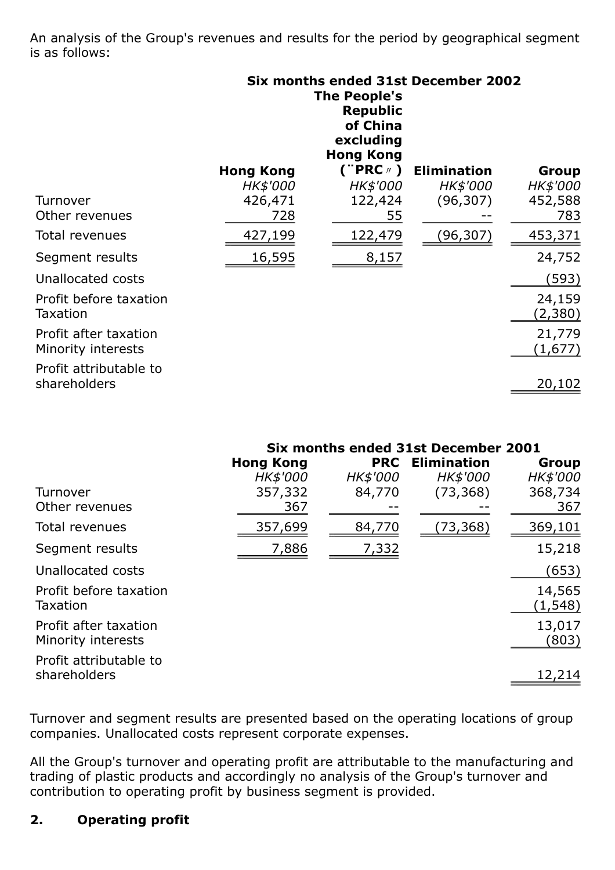An analysis of the Group's revenues and results for the period by geographical segment is as follows:

|                                             |                  | <b>The People's</b><br><b>Republic</b><br>of China<br>excluding<br><b>Hong Kong</b> | Six months ended 31st December 2002 |                   |
|---------------------------------------------|------------------|-------------------------------------------------------------------------------------|-------------------------------------|-------------------|
|                                             | <b>Hong Kong</b> | ("PRC $\#$ )                                                                        | <b>Elimination</b>                  | Group             |
|                                             | <b>HK\$'000</b>  | <b>HK\$'000</b>                                                                     | <b>HK\$'000</b>                     | <i>HK\$'000</i>   |
| Turnover                                    | 426,471          | 122,424                                                                             | (96, 307)                           | 452,588           |
| Other revenues                              | 728              | 55                                                                                  |                                     | 783               |
| Total revenues                              | 427,199          | 122,479                                                                             | (96, 307)                           | 453,371           |
| Segment results                             | 16,595           | 8,157                                                                               |                                     | 24,752            |
| Unallocated costs                           |                  |                                                                                     |                                     | (593)             |
| Profit before taxation<br><b>Taxation</b>   |                  |                                                                                     |                                     | 24,159<br>(2,380) |
| Profit after taxation<br>Minority interests |                  |                                                                                     |                                     | 21,779<br>(1,677) |
| Profit attributable to<br>shareholders      |                  |                                                                                     |                                     | 20,102            |

|                        | Six months ended 31st December 2001 |            |                    |          |
|------------------------|-------------------------------------|------------|--------------------|----------|
|                        | <b>Hong Kong</b>                    | <b>PRC</b> | <b>Elimination</b> | Group    |
|                        | HK\$'000                            | HK\$'000   | HK\$'000           | HK\$'000 |
| Turnover               | 357,332                             | 84,770     | (73, 368)          | 368,734  |
| Other revenues         | 367                                 |            |                    | 367      |
| Total revenues         | 357,699                             | 84,770     | (73, 368)          | 369,101  |
| Segment results        | 7,886                               | 7,332      |                    | 15,218   |
| Unallocated costs      |                                     |            |                    | (653)    |
| Profit before taxation |                                     |            |                    | 14,565   |
| Taxation               |                                     |            |                    | (1, 548) |
| Profit after taxation  |                                     |            |                    | 13,017   |
| Minority interests     |                                     |            |                    | (803)    |
| Profit attributable to |                                     |            |                    |          |
| shareholders           |                                     |            |                    | 12,214   |
|                        |                                     |            |                    |          |

Turnover and segment results are presented based on the operating locations of group companies. Unallocated costs represent corporate expenses.

All the Group's turnover and operating profit are attributable to the manufacturing and trading of plastic products and accordingly no analysis of the Group's turnover and contribution to operating profit by business segment is provided.

## 2. Operating profit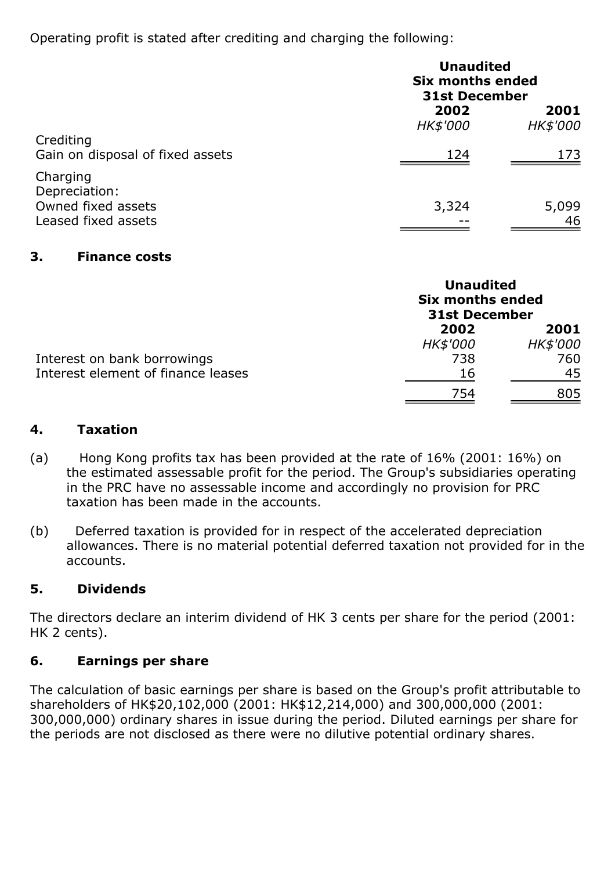Operating profit is stated after crediting and charging the following:

|                                                                        | <b>Unaudited</b><br><b>Six months ended</b><br><b>31st December</b> |                  |
|------------------------------------------------------------------------|---------------------------------------------------------------------|------------------|
|                                                                        | 2002<br>HK\$'000                                                    | 2001<br>HK\$'000 |
| Crediting<br>Gain on disposal of fixed assets                          | 124                                                                 | 173              |
| Charging<br>Depreciation:<br>Owned fixed assets<br>Leased fixed assets | 3,324                                                               | 5,099<br>46      |

## 3. Finance costs

|                                    | <b>Unaudited</b><br><b>Six months ended</b><br><b>31st December</b> |          |
|------------------------------------|---------------------------------------------------------------------|----------|
|                                    | 2002                                                                | 2001     |
|                                    | HK\$'000                                                            | HK\$'000 |
| Interest on bank borrowings        | 738                                                                 | 760      |
| Interest element of finance leases | 16                                                                  | 45       |
|                                    | 754                                                                 | 805      |

## 4. Taxation

- (a) Hong Kong profits tax has been provided at the rate of 16% (2001: 16%) on the estimated assessable profit for the period. The Group's subsidiaries operating in the PRC have no assessable income and accordingly no provision for PRC taxation has been made in the accounts.
- (b) Deferred taxation is provided for in respect of the accelerated depreciation allowances. There is no material potential deferred taxation not provided for in the accounts.

## 5. Dividends

The directors declare an interim dividend of HK 3 cents per share for the period (2001: HK 2 cents).

## 6. Earnings per share

The calculation of basic earnings per share is based on the Group's profit attributable to shareholders of HK\$20,102,000 (2001: HK\$12,214,000) and 300,000,000 (2001: 300,000,000) ordinary shares in issue during the period. Diluted earnings per share for the periods are not disclosed as there were no dilutive potential ordinary shares.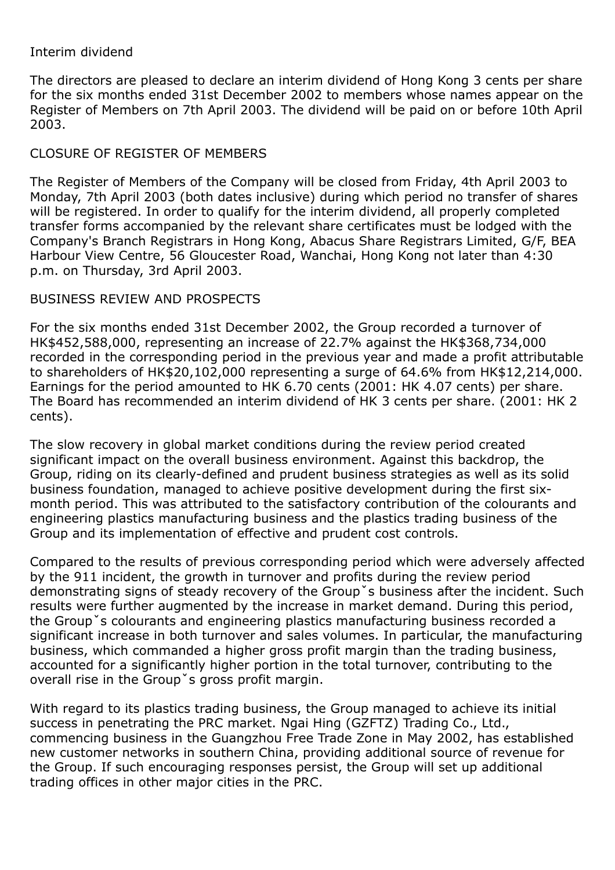#### Interim dividend

The directors are pleased to declare an interim dividend of Hong Kong 3 cents per share for the six months ended 31st December 2002 to members whose names appear on the Register of Members on 7th April 2003. The dividend will be paid on or before 10th April 2003.

## CLOSURE OF REGISTER OF MEMBERS

The Register of Members of the Company will be closed from Friday, 4th April 2003 to Monday, 7th April 2003 (both dates inclusive) during which period no transfer of shares will be registered. In order to qualify for the interim dividend, all properly completed transfer forms accompanied by the relevant share certificates must be lodged with the Company's Branch Registrars in Hong Kong, Abacus Share Registrars Limited, G/F, BEA Harbour View Centre, 56 Gloucester Road, Wanchai, Hong Kong not later than 4:30 p.m. on Thursday, 3rd April 2003.

#### BUSINESS REVIEW AND PROSPECTS

For the six months ended 31st December 2002, the Group recorded a turnover of HK\$452,588,000, representing an increase of 22.7% against the HK\$368,734,000 recorded in the corresponding period in the previous year and made a profit attributable to shareholders of HK\$20,102,000 representing a surge of 64.6% from HK\$12,214,000. Earnings for the period amounted to HK 6.70 cents (2001: HK 4.07 cents) per share. The Board has recommended an interim dividend of HK 3 cents per share. (2001: HK 2 cents).

The slow recovery in global market conditions during the review period created significant impact on the overall business environment. Against this backdrop, the Group, riding on its clearly-defined and prudent business strategies as well as its solid business foundation, managed to achieve positive development during the first sixmonth period. This was attributed to the satisfactory contribution of the colourants and engineering plastics manufacturing business and the plastics trading business of the Group and its implementation of effective and prudent cost controls.

Compared to the results of previous corresponding period which were adversely affected by the 911 incident, the growth in turnover and profits during the review period demonstrating signs of steady recovery of the Groupˇs business after the incident. Such results were further augmented by the increase in market demand. During this period, the Groupˇs colourants and engineering plastics manufacturing business recorded a significant increase in both turnover and sales volumes. In particular, the manufacturing business, which commanded a higher gross profit margin than the trading business, accounted for a significantly higher portion in the total turnover, contributing to the overall rise in the Groupˇs gross profit margin.

With regard to its plastics trading business, the Group managed to achieve its initial success in penetrating the PRC market. Ngai Hing (GZFTZ) Trading Co., Ltd., commencing business in the Guangzhou Free Trade Zone in May 2002, has established new customer networks in southern China, providing additional source of revenue for the Group. If such encouraging responses persist, the Group will set up additional trading offices in other major cities in the PRC.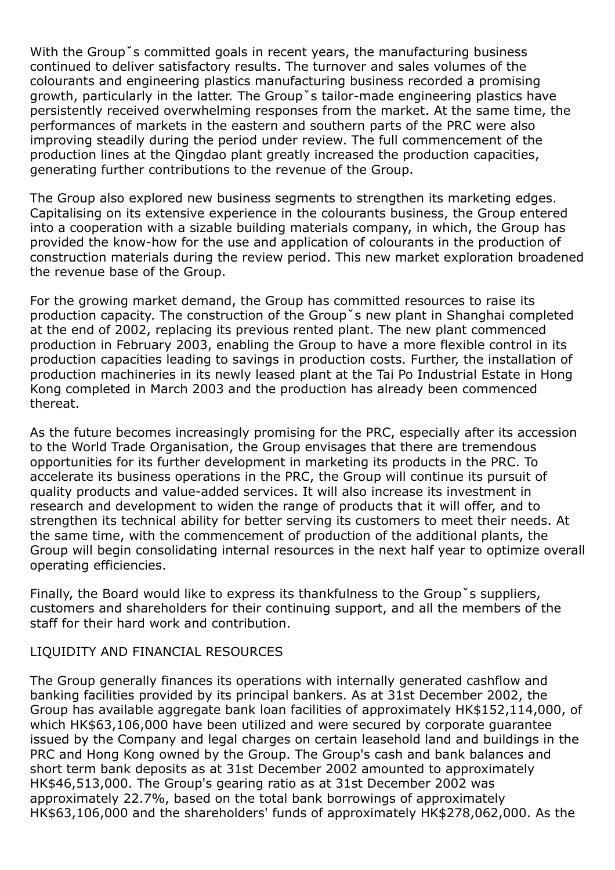With the Group<sup>x</sup> scommitted goals in recent years, the manufacturing business continued to deliver satisfactory results. The turnover and sales volumes of the colourants and engineering plastics manufacturing business recorded a promising growth, particularly in the latter. The Group 's tailor-made engineering plastics have persistently received overwhelming responses from the market. At the same time, the performances of markets in the eastern and southern parts of the PRC were also improving steadily during the period under review. The full commencement of the production lines at the Qingdao plant greatly increased the production capacities, generating further contributions to the revenue of the Group.

The Group also explored new business segments to strengthen its marketing edges. Capitalising on its extensive experience in the colourants business, the Group entered into a cooperation with a sizable building materials company, in which, the Group has provided the know-how for the use and application of colourants in the production of construction materials during the review period. This new market exploration broadened the revenue base of the Group.

For the growing market demand, the Group has committed resources to raise its production capacity. The construction of the Groupˇs new plant in Shanghai completed at the end of 2002, replacing its previous rented plant. The new plant commenced production in February 2003, enabling the Group to have a more flexible control in its production capacities leading to savings in production costs. Further, the installation of production machineries in its newly leased plant at the Tai Po Industrial Estate in Hong Kong completed in March 2003 and the production has already been commenced thereat.

As the future becomes increasingly promising for the PRC, especially after its accession to the World Trade Organisation, the Group envisages that there are tremendous opportunities for its further development in marketing its products in the PRC. To accelerate its business operations in the PRC, the Group will continue its pursuit of quality products and value-added services. It will also increase its investment in research and development to widen the range of products that it will offer, and to strengthen its technical ability for better serving its customers to meet their needs. At the same time, with the commencement of production of the additional plants, the Group will begin consolidating internal resources in the next half year to optimize overall operating efficiencies.

Finally, the Board would like to express its thankfulness to the Groupˇs suppliers, customers and shareholders for their continuing support, and all the members of the staff for their hard work and contribution.

#### LIQUIDITY AND FINANCIAL RESOURCES

The Group generally finances its operations with internally generated cashflow and banking facilities provided by its principal bankers. As at 31st December 2002, the Group has available aggregate bank loan facilities of approximately HK\$152,114,000, of which HK\$63,106,000 have been utilized and were secured by corporate guarantee issued by the Company and legal charges on certain leasehold land and buildings in the PRC and Hong Kong owned by the Group. The Group's cash and bank balances and short term bank deposits as at 31st December 2002 amounted to approximately HK\$46,513,000. The Group's gearing ratio as at 31st December 2002 was approximately 22.7%, based on the total bank borrowings of approximately HK\$63,106,000 and the shareholders' funds of approximately HK\$278,062,000. As the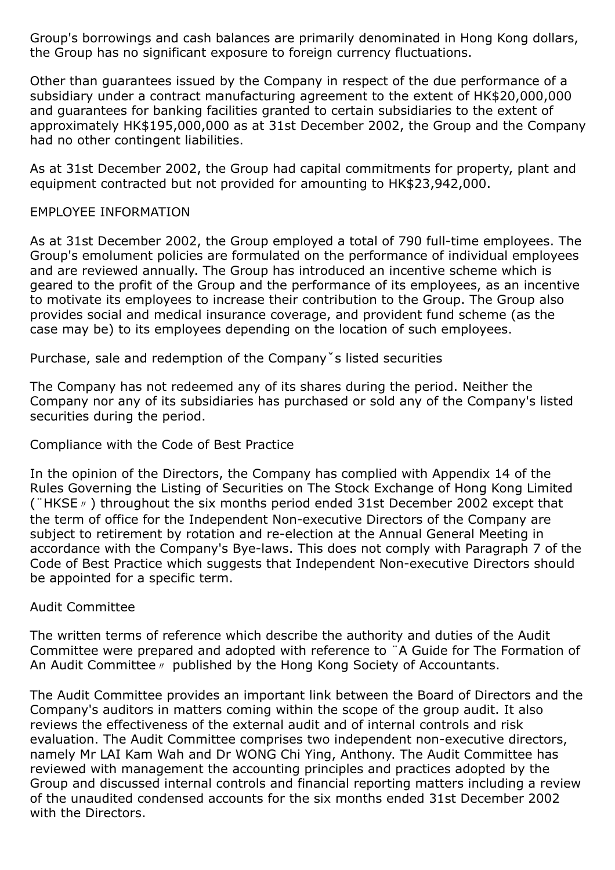Group's borrowings and cash balances are primarily denominated in Hong Kong dollars, the Group has no significant exposure to foreign currency fluctuations.

Other than guarantees issued by the Company in respect of the due performance of a subsidiary under a contract manufacturing agreement to the extent of HK\$20,000,000 and guarantees for banking facilities granted to certain subsidiaries to the extent of approximately HK\$195,000,000 as at 31st December 2002, the Group and the Company had no other contingent liabilities.

As at 31st December 2002, the Group had capital commitments for property, plant and equipment contracted but not provided for amounting to HK\$23,942,000.

#### EMPLOYEE INFORMATION

As at 31st December 2002, the Group employed a total of 790 full-time employees. The Group's emolument policies are formulated on the performance of individual employees and are reviewed annually. The Group has introduced an incentive scheme which is geared to the profit of the Group and the performance of its employees, as an incentive to motivate its employees to increase their contribution to the Group. The Group also provides social and medical insurance coverage, and provident fund scheme (as the case may be) to its employees depending on the location of such employees.

Purchase, sale and redemption of the Companyˇs listed securities

The Company has not redeemed any of its shares during the period. Neither the Company nor any of its subsidiaries has purchased or sold any of the Company's listed securities during the period.

#### Compliance with the Code of Best Practice

In the opinion of the Directors, the Company has complied with Appendix 14 of the Rules Governing the Listing of Securities on The Stock Exchange of Hong Kong Limited (¨HKSE〃) throughout the six months period ended 31st December 2002 except that the term of office for the Independent Non-executive Directors of the Company are subject to retirement by rotation and re-election at the Annual General Meeting in accordance with the Company's Bye-laws. This does not comply with Paragraph 7 of the Code of Best Practice which suggests that Independent Non-executive Directors should be appointed for a specific term.

#### Audit Committee

The written terms of reference which describe the authority and duties of the Audit Committee were prepared and adopted with reference to ¨A Guide for The Formation of An Audit Committee〃 published by the Hong Kong Society of Accountants.

The Audit Committee provides an important link between the Board of Directors and the Company's auditors in matters coming within the scope of the group audit. It also reviews the effectiveness of the external audit and of internal controls and risk evaluation. The Audit Committee comprises two independent non-executive directors, namely Mr LAI Kam Wah and Dr WONG Chi Ying, Anthony. The Audit Committee has reviewed with management the accounting principles and practices adopted by the Group and discussed internal controls and financial reporting matters including a review of the unaudited condensed accounts for the six months ended 31st December 2002 with the Directors.